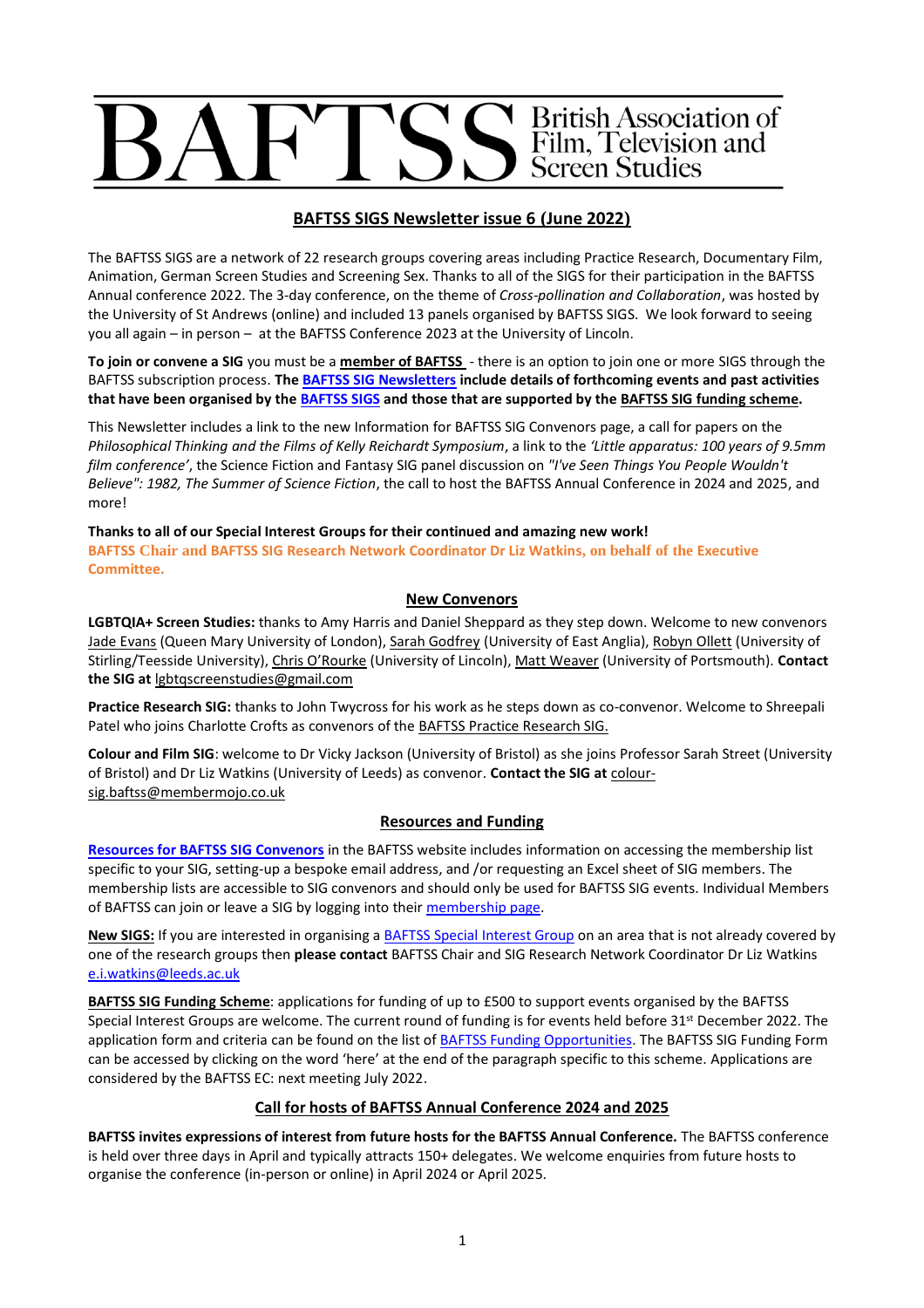# Seritish Association of<br>Seritish, Television and<br>Sereen Studies

# **BAFTSS SIGS Newsletter issue 6 (June 2022)**

The BAFTSS SIGS are a network of 22 research groups covering areas including Practice Research, Documentary Film, Animation, German Screen Studies and Screening Sex. Thanks to all of the SIGS for their participation in the BAFTSS Annual conference 2022. The 3-day conference, on the theme of *Cross-pollination and Collaboration*, was hosted by the University of St Andrews (online) and included 13 panels organised by BAFTSS SIGS. We look forward to seeing you all again – in person – at the BAFTSS Conference 2023 at the University of Lincoln.

**To join or convene a SIG** you must be a **[member of BAFTSS](https://membermojo.co.uk/baftss)** - there is an option to join one or more SIGS through the BAFTSS subscription process. **Th[e BAFTSS SIG Newsletters](https://www.baftss.org/sig-newsletter-archive.html) include details of forthcoming events and past activities that have been organised by th[e BAFTSS SIGS](https://www.baftss.org/sigs.html) and those that are supported by th[e BAFTSS SIG funding scheme.](https://www.baftss.org/funding.html)** 

This Newsletter includes a link to the new Information for BAFTSS SIG Convenors page, a call for papers on the *Philosophical Thinking and the Films of Kelly Reichardt Symposium*, a link to the *'Little apparatus: 100 years of 9.5mm film conference'*, the Science Fiction and Fantasy SIG panel discussion on *"I've Seen Things You People Wouldn't Believe": 1982, The Summer of Science Fiction*, the call to host the BAFTSS Annual Conference in 2024 and 2025, and more!

**Thanks to all of our Special Interest Groups for their continued and amazing new work! BAFTSS Chair and BAFTSS SIG Research Network Coordinator Dr Liz Watkins, on behalf of the Executive Committee.** 

## **New Convenors**

**LGBTQIA+ Screen Studies:** thanks to Amy Harris and Daniel Sheppard as they step down. Welcome to new convenors [Jade Evans](https://www.qmul.ac.uk/sllf/film-studies/people/postgraduate/profiles/jade-sofia-evans.html) (Queen Mary University of London), [Sarah Godfrey](https://research-portal.uea.ac.uk/en/persons/sarah-godfrey) (University of East Anglia)[, Robyn Ollett](https://www.stir.ac.uk/research/hub/people/1773138) (University of Stirling/Teesside University), [Chris O'Rourke](https://staff.lincoln.ac.uk/cORourke) (University of Lincoln)[, Matt Weaver](https://twitter.com/Matt_Weaver21) (University of Portsmouth). **Contact the SIG at** [lgbtqscreenstudies@gmail.com](mailto:lgbtqscreenstudies@gmail.com)

**Practice Research SIG:** thanks to John Twycross for his work as he steps down as co-convenor. Welcome to Shreepali Patel who joins Charlotte Crofts as convenors of th[e BAFTSS Practice Research SIG.](https://www.baftss.org/practice-research.html) 

**Colour and Film SIG**: welcome to Dr Vicky Jackson (University of Bristol) as she joins Professor Sarah Street (University of Bristol) and Dr Liz Watkins (University of Leeds) as convenor. **Contact the SIG at** [colour](mailto:colour-sig.baftss@membermojo.co.uk)[sig.baftss@membermojo.co.uk](mailto:colour-sig.baftss@membermojo.co.uk)

### **Resources and Funding**

**[Resources for BAFTSS SIG Convenors](https://www.baftss.org/convenor-resources.html)** in the BAFTSS website includes information on accessing the membership list specific to your SIG, setting-up a bespoke email address, and /or requesting an Excel sheet of SIG members. The membership lists are accessible to SIG convenors and should only be used for BAFTSS SIG events. Individual Members of BAFTSS can join or leave a SIG by logging into thei[r membership page.](https://membermojo.co.uk/baftss)

**New SIGS:** If you are interested in organising [a BAFTSS Special Interest Group](https://www.baftss.org/convenor-resources.html) on an area that is not already covered by one of the research groups then **please contact** BAFTSS Chair and SIG Research Network Coordinator Dr Liz Watkins [e.i.watkins@leeds.ac.uk](mailto:e.i.watkins@leeds.ac.uk)

**BAFTSS SIG Funding Scheme**: applications for funding of up to £500 to support events organised by the BAFTSS Special Interest Groups are welcome. The current round of funding is for events held before 31<sup>st</sup> December 2022. The application form and criteria can be found on the list o[f BAFTSS Funding Opportunities.](Open%20call%20for%20new%20SIGS%20not%20covered%20by%20current%20groups.) The BAFTSS SIG Funding Form can be accessed by clicking on the word 'here' at the end of the paragraph specific to this scheme. Applications are considered by the BAFTSS EC: next meeting July 2022.

### **Call for hosts of BAFTSS Annual Conference 2024 and 2025**

**BAFTSS invites expressions of interest from future hosts for the BAFTSS Annual Conference.** The BAFTSS conference is held over three days in April and typically attracts 150+ delegates. We welcome enquiries from future hosts to organise the conference (in-person or online) in April 2024 or April 2025.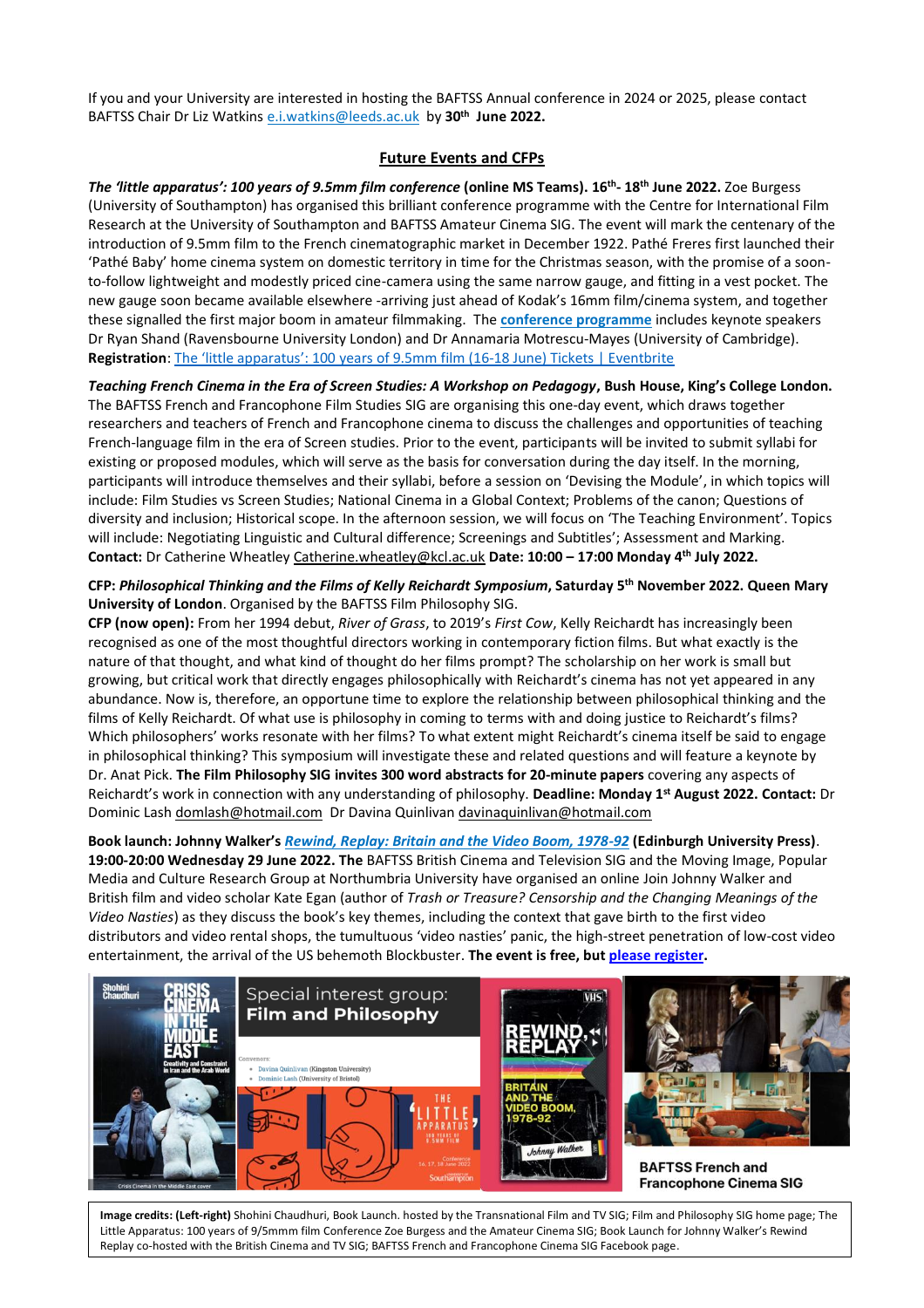If you and your University are interested in hosting the BAFTSS Annual conference in 2024 or 2025, please contact BAFTSS Chair Dr Liz Watkins [e.i.watkins@leeds.ac.uk](mailto:e.i.watkins@leeds.ac.uk) by **30th June 2022.** 

### **Future Events and CFPs**

*The 'little apparatus': 100 years of 9.5mm film conference* **(online MS Teams). 16th - 18th June 2022.** Zoe Burgess (University of Southampton) has organised this brilliant conference programme with the Centre for International Film Research at the University of Southampton and BAFTSS Amateur Cinema SIG. The event will mark the centenary of the introduction of 9.5mm film to the French cinematographic market in December 1922. Pathé Freres first launched their 'Pathé Baby' home cinema system on domestic territory in time for the Christmas season, with the promise of a soonto-follow lightweight and modestly priced cine-camera using the same narrow gauge, and fitting in a vest pocket. The new gauge soon became available elsewhere -arriving just ahead of Kodak's 16mm film/cinema system, and together these signalled the first major boom in amateur filmmaking. The **[conference programme](https://sites.google.com/view/100yearsof95mmconference/home)** includes keynote speakers Dr Ryan Shand (Ravensbourne University London) and Dr Annamaria Motrescu-Mayes (University of Cambridge). Registration: [The 'little apparatus': 100 years of 9.5mm film \(16](https://eur03.safelinks.protection.outlook.com/?url=https%3A%2F%2Fwww.eventbrite.com%2Fe%2Fthe-little-apparatus-100-years-of-95mm-film-16-18-june-tickets-217883223587&data=05%7C01%7CE.I.Watkins%40leeds.ac.uk%7C5c73e33740894551a2a208da2f4be601%7Cbdeaeda8c81d45ce863e5232a535b7cb%7C1%7C0%7C637874300268836155%7CUnknown%7CTWFpbGZsb3d8eyJWIjoiMC4wLjAwMDAiLCJQIjoiV2luMzIiLCJBTiI6Ik1haWwiLCJXVCI6Mn0%3D%7C3000%7C%7C%7C&sdata=7fS87sN8t2JEsuQjXL6TBskjOTp5%2BYLRjAk3v%2Fmul2U%3D&reserved=0)-18 June) Tickets | Eventbrite

*Teaching French Cinema in the Era of Screen Studies: A Workshop on Pedagogy***, Bush House, King's College London.**  The BAFTSS French and Francophone Film Studies SIG are organising this one-day event, which draws together researchers and teachers of French and Francophone cinema to discuss the challenges and opportunities of teaching French-language film in the era of Screen studies. Prior to the event, participants will be invited to submit syllabi for existing or proposed modules, which will serve as the basis for conversation during the day itself. In the morning, participants will introduce themselves and their syllabi, before a session on 'Devising the Module', in which topics will include: Film Studies vs Screen Studies; National Cinema in a Global Context; Problems of the canon; Questions of diversity and inclusion; Historical scope. In the afternoon session, we will focus on 'The Teaching Environment'. Topics will include: Negotiating Linguistic and Cultural difference; Screenings and Subtitles'; Assessment and Marking. **Contact:** Dr Catherine Wheatley [Catherine.wheatley@kcl.ac.uk](mailto:Catherine.wheatley@kcl.ac.uk) **Date: 10:00 – 17:00 Monday 4th July 2022.**

**CFP:** *Philosophical Thinking and the Films of Kelly Reichardt Symposium***, Saturday 5th November 2022. Queen Mary University of London**. Organised by the BAFTSS Film Philosophy SIG.

**CFP (now open):** From her 1994 debut, *River of Grass*, to 2019's *First Cow*, Kelly Reichardt has increasingly been recognised as one of the most thoughtful directors working in contemporary fiction films. But what exactly is the nature of that thought, and what kind of thought do her films prompt? The scholarship on her work is small but growing, but critical work that directly engages philosophically with Reichardt's cinema has not yet appeared in any abundance. Now is, therefore, an opportune time to explore the relationship between philosophical thinking and the films of Kelly Reichardt. Of what use is philosophy in coming to terms with and doing justice to Reichardt's films? Which philosophers' works resonate with her films? To what extent might Reichardt's cinema itself be said to engage in philosophical thinking? This symposium will investigate these and related questions and will feature a keynote by Dr. Anat Pick. **The Film Philosophy SIG invites 300 word abstracts for 20-minute papers** covering any aspects of Reichardt's work in connection with any understanding of philosophy. **Deadline: Monday 1st August 2022. Contact:** Dr Dominic Lash [domlash@hotmail.com](mailto:domlash@hotmail.com) Dr Davina Quinlivan [davinaquinlivan@hotmail.com](mailto:davinaquinlivan@hotmail.com)

**Book launch: Johnny Walker's** *[Rewind, Replay: Britain and the Video Boom, 1978-92](https://edinburghuniversitypress.com/book-rewind-replay.html)* **(Edinburgh University Press)**. **19:00-20:00 Wednesday 29 June 2022. The** BAFTSS British Cinema and Television SIG and the Moving Image, Popular Media and Culture Research Group at Northumbria University have organised an online Join Johnny Walker and British film and video scholar Kate Egan (author of *Trash or Treasure? Censorship and the Changing Meanings of the Video Nasties*) as they discuss the book's key themes, including the context that gave birth to the first video distributors and video rental shops, the tumultuous 'video nasties' panic, the high-street penetration of low-cost video entertainment, the arrival of the US behemoth Blockbuster. **The event is free, bu[t please register.](http://www.drjohnnywalker.co.uk/launch.html)**



2 Replay co-hosted with the British Cinema and TV SIG; BAFTSS French and Francophone Cinema SIG Facebook page.**Image credits: (Left-right)** Shohini Chaudhuri, Book Launch. hosted by the Transnational Film and TV SIG; Film and Philosophy SIG home page; The Little Apparatus: 100 years of 9/5mmm film Conference Zoe Burgess and the Amateur Cinema SIG; Book Launch for Johnny Walker's Rewind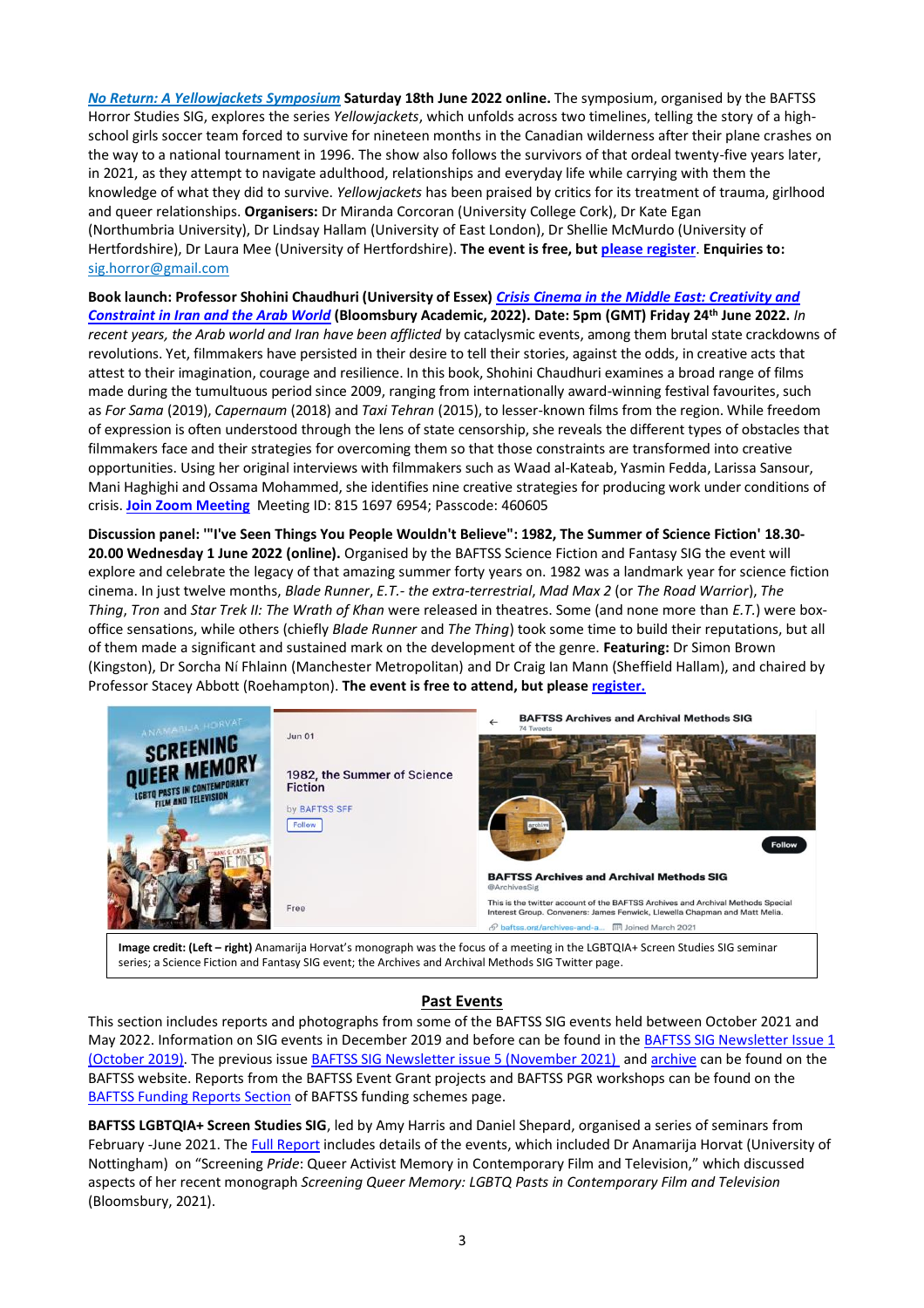*No Return: A [Yellowjackets](https://baftsshorror.weebly.com/symposium.html) Symposium* **Saturday 18th June 2022 online.** The symposium, organised by the BAFTSS Horror Studies SIG, explores the series *Yellowjackets*, which unfolds across two timelines, telling the story of a highschool girls soccer team forced to survive for nineteen months in the Canadian wilderness after their plane crashes on the way to a national tournament in 1996. The show also follows the survivors of that ordeal twenty-five years later, in 2021, as they attempt to navigate adulthood, relationships and everyday life while carrying with them the knowledge of what they did to survive. *Yellowjackets* has been praised by critics for its treatment of trauma, girlhood and queer relationships. **Organisers:** Dr Miranda Corcoran (University College Cork), Dr Kate Egan (Northumbria University), Dr Lindsay Hallam (University of East London), Dr Shellie McMurdo (University of Hertfordshire), Dr Laura Mee (University of Hertfordshire). **The event is free, but [please register](https://forms.office.com/pages/responsepage.aspx?id=ur7mk6rEMUevXdc1sJfq2_zGbdIaXiNAsYre-mjU4udUQTdOTjFLSFFVNFAzWDFOSFQ2NE5XQThJOC4u)**. **Enquiries to:**  [sig.horror@gmail.com](mailto:sig.horror@gmail.com)

**Book launch: Professor [Shohini Chaudhuri](https://eur03.safelinks.protection.outlook.com/?url=https%3A%2F%2Fwww.essex.ac.uk%2Fpeople%2Fchaud22203%2Fshohini-chaudhuri&data=05%7C01%7CE.I.Watkins%40leeds.ac.uk%7Cf7c894c75b8a409a79bc08da3b30820b%7Cbdeaeda8c81d45ce863e5232a535b7cb%7C1%7C0%7C637887377199975593%7CUnknown%7CTWFpbGZsb3d8eyJWIjoiMC4wLjAwMDAiLCJQIjoiV2luMzIiLCJBTiI6Ik1haWwiLCJXVCI6Mn0%3D%7C3000%7C%7C%7C&sdata=GKPs1k08FvRmbdyPlT4tEi%2BpfYZw1mpYSzpqe2kGPZA%3D&reserved=0) (University of Essex)** *[Crisis Cinema in the Middle East: Creativity and](https://www.bloomsbury.com/uk/crisis-cinema-in-the-middle-east-9781350190511/)  [Constraint in Iran and the Arab World](https://www.bloomsbury.com/uk/crisis-cinema-in-the-middle-east-9781350190511/)* **(Bloomsbury Academic, 2022). Date: 5pm (GMT) Friday 24th June 2022.** *In recent years, the Arab world and Iran have been afflicted* by cataclysmic events, among them brutal state crackdowns of revolutions. Yet, filmmakers have persisted in their desire to tell their stories, against the odds, in creative acts that attest to their imagination, courage and resilience. In this book, Shohini Chaudhuri examines a broad range of films made during the tumultuous period since 2009, ranging from internationally award-winning festival favourites, such as *For Sama* (2019), *Capernaum* (2018) and *Taxi Tehran* (2015), to lesser-known films from the region. While freedom of expression is often understood through the lens of state censorship, she reveals the different types of obstacles that filmmakers face and their strategies for overcoming them so that those constraints are transformed into creative opportunities. Using her original interviews with filmmakers such as Waad al-Kateab, Yasmin Fedda, Larissa Sansour, Mani Haghighi and Ossama Mohammed, she identifies nine creative strategies for producing work under conditions of crisis. **[Join Zoom Meeting](https://port-ac-uk.zoom.us/j/81516976954?pwd=nUc3_2Uftk0M8qI-IlKsif1K2nT7_4.1)** Meeting ID: 815 1697 6954; Passcode: 460605

**Discussion panel: '"I've Seen Things You People Wouldn't Believe": 1982, The Summer of Science Fiction' 18.30- 20.00 Wednesday 1 June 2022 (online).** Organised by the BAFTSS Science Fiction and Fantasy SIG the event will explore and celebrate the legacy of that amazing summer forty years on. 1982 was a landmark year for science fiction cinema. In just twelve months, *Blade Runner*, *E.T.- the extra-terrestrial*, *Mad Max 2* (or *The Road Warrior*), *The Thing*, *Tron* and *Star Trek II: The Wrath of Khan* were released in theatres. Some (and none more than *E.T.*) were boxoffice sensations, while others (chiefly *Blade Runner* and *The Thing*) took some time to build their reputations, but all of them made a significant and sustained mark on the development of the genre. **Featuring:** Dr Simon Brown (Kingston), Dr Sorcha Ní Fhlainn (Manchester Metropolitan) and Dr Craig Ian Mann (Sheffield Hallam), and chaired by Professor Stacey Abbott (Roehampton). **The event is free to attend, but please [register.](https://www.eventbrite.com/e/1982-the-summer-of-science-fiction-tickets-338071861037)**



**Image credit: (Left – right)** Anamarija Horvat's monograph was the focus of a meeting in the LGBTQIA+ Screen Studies SIG seminar series; a Science Fiction and Fantasy SIG event; the Archives and Archival Methods SIG Twitter page.

### **Past Events**

This section includes reports and photographs from some of the BAFTSS SIG events held between October 2021 and May 2022. Information on SIG events in December 2019 and before can be found in the [BAFTSS SIG Newsletter Issue 1](https://29fa98f6-1809-488b-a9ec-9a5b9d0f4b6e.filesusr.com/ugd/27b2ad_954ea44e65eb41ca927cef930a40f8bf.pdf)  [\(October 2019\).](https://29fa98f6-1809-488b-a9ec-9a5b9d0f4b6e.filesusr.com/ugd/27b2ad_954ea44e65eb41ca927cef930a40f8bf.pdf) The previous issu[e BAFTSS SIG Newsletter issue 5 \(November 2021\)](https://29fa98f6-1809-488b-a9ec-9a5b9d0f4b6e.filesusr.com/ugd/27b2ad_9fe66125170841efa147b0a268428e86.pdf) and [archive](https://www.baftss.org/sig-newsletter-archive.html) can be found on the BAFTSS website. Reports from the BAFTSS Event Grant projects and BAFTSS PGR workshops can be found on the [BAFTSS Funding Reports Section](https://www.baftss.org/funding.html) of BAFTSS funding schemes page.

**BAFTSS LGBTQIA+ Screen Studies SIG**, led by Amy Harris and Daniel Shepard, organised a series of seminars from February -June 2021. Th[e Full Report](https://www.baftss.org/uploads/1/3/9/8/139813734/baftss_lgbtq_report_april_2022.pdf) includes details of the events, which included Dr Anamarija Horvat (University of Nottingham) on "Screening *Pride*: Queer Activist Memory in Contemporary Film and Television," which discussed aspects of her recent monograph *Screening Queer Memory: LGBTQ Pasts in Contemporary Film and Television*  (Bloomsbury, 2021).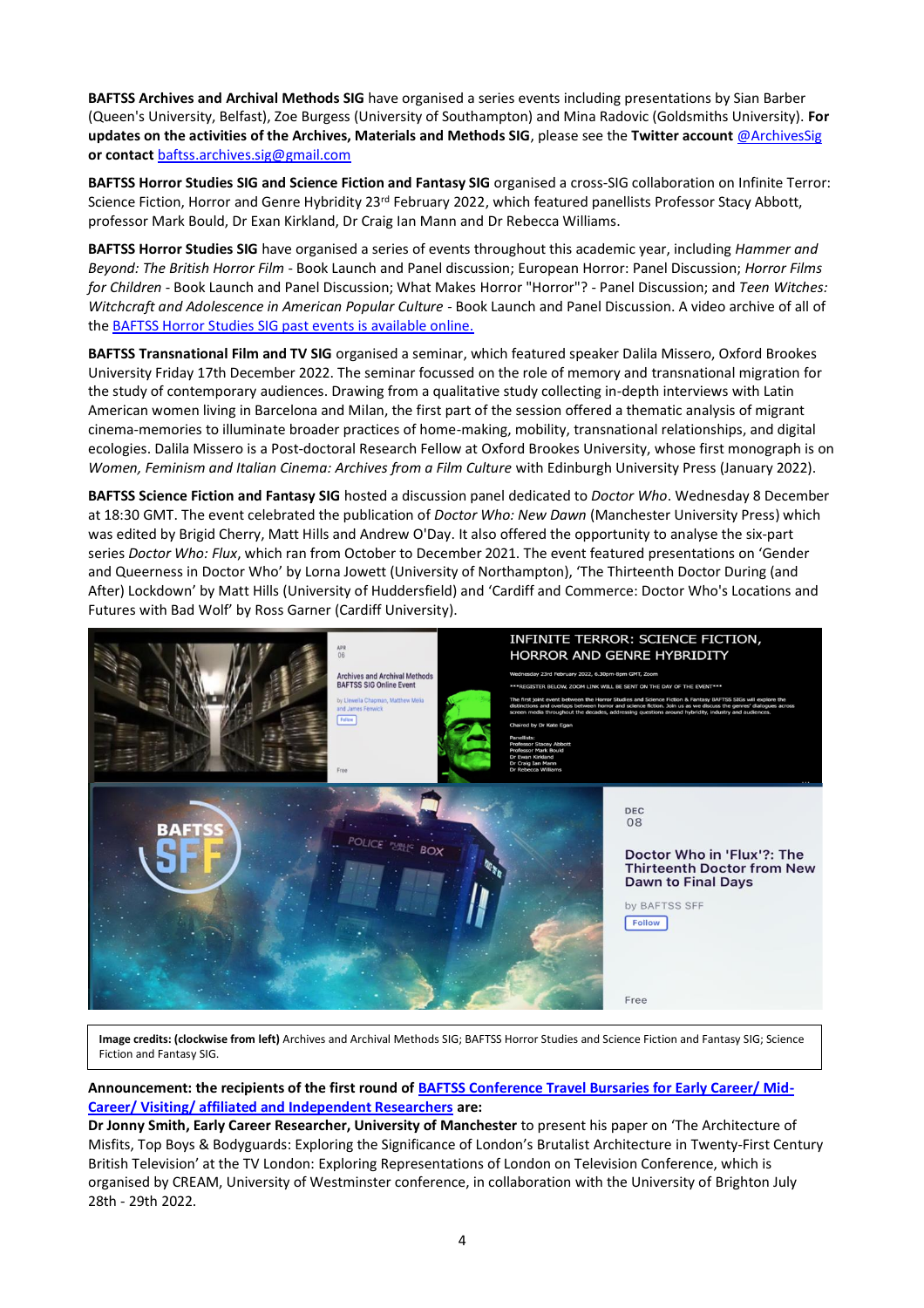**BAFTSS Archives and Archival Methods SIG** have organised a series events including presentations by Sian Barber (Queen's University, Belfast), Zoe Burgess (University of Southampton) and Mina Radovic (Goldsmiths University). **For updates on the activities of the Archives, Materials and Methods SIG**, please see the **Twitter account** [@ArchivesSig](mailto:@ArchivesSig) **or contact** [baftss.archives.sig@gmail.com](mailto:baftss.archives.sig@gmail.com)

**BAFTSS Horror Studies SIG and Science Fiction and Fantasy SIG** organised a cross-SIG collaboration on Infinite Terror: Science Fiction, Horror and Genre Hybridity 23<sup>rd</sup> February 2022, which featured panellists Professor Stacy Abbott, professor Mark Bould, Dr Exan Kirkland, Dr Craig Ian Mann and Dr Rebecca Williams.

**BAFTSS Horror Studies SIG** have organised a series of events throughout this academic year, including *Hammer and Beyond: The British Horror Film* - Book Launch and Panel discussion; European Horror: Panel Discussion; *Horror Films for Children* - Book Launch and Panel Discussion; What Makes Horror "Horror"? - Panel Discussion; and *Teen Witches: Witchcraft and Adolescence in American Popular Culture* - Book Launch and Panel Discussion. A video archive of all of th[e BAFTSS Horror Studies SIG past events is available online.](https://baftsshorror.weebly.com/events.html)

**BAFTSS Transnational Film and TV SIG** organised a seminar, which featured speaker Dalila Missero, Oxford Brookes University Friday 17th December 2022. The seminar focussed on the role of memory and transnational migration for the study of contemporary audiences. Drawing from a qualitative study collecting in-depth interviews with Latin American women living in Barcelona and Milan, the first part of the session offered a thematic analysis of migrant cinema-memories to illuminate broader practices of home-making, mobility, transnational relationships, and digital ecologies. Dalila Missero is a Post-doctoral Research Fellow at Oxford Brookes University, whose first monograph is on *Women, Feminism and Italian Cinema: Archives from a Film Culture* with Edinburgh University Press (January 2022).

**BAFTSS Science Fiction and Fantasy SIG** hosted a discussion panel dedicated to *Doctor Who*. Wednesday 8 December at 18:30 GMT. The event celebrated the publication of *Doctor Who: New Dawn* (Manchester University Press) which was edited by Brigid Cherry, Matt Hills and Andrew O'Day. It also offered the opportunity to analyse the six-part series *Doctor Who: Flux*, which ran from October to December 2021. The event featured presentations on 'Gender and Queerness in Doctor Who' by Lorna Jowett (University of Northampton), 'The Thirteenth Doctor During (and After) Lockdown' by Matt Hills (University of Huddersfield) and 'Cardiff and Commerce: Doctor Who's Locations and Futures with Bad Wolf' by Ross Garner (Cardiff University).



**Image credits: (clockwise from left)** Archives and Archival Methods SIG; BAFTSS Horror Studies and Science Fiction and Fantasy SIG; Science Fiction and Fantasy SIG.

**Announcement: the recipients of the first round of [BAFTSS Conference Travel Bursaries for Early Career/ Mid-](https://www.baftss.org/funding.html)[Career/ Visiting/ affiliated and Independent Researchers](https://www.baftss.org/funding.html) are:**

**Dr Jonny Smith, Early Career Researcher, University of Manchester** to present his paper on 'The Architecture of Misfits, Top Boys & Bodyguards: Exploring the Significance of London's Brutalist Architecture in Twenty-First Century British Television' at the TV London: Exploring Representations of London on Television Conference, which is organised by CREAM, University of Westminster conference, in collaboration with the University of Brighton July 28th - 29th 2022.